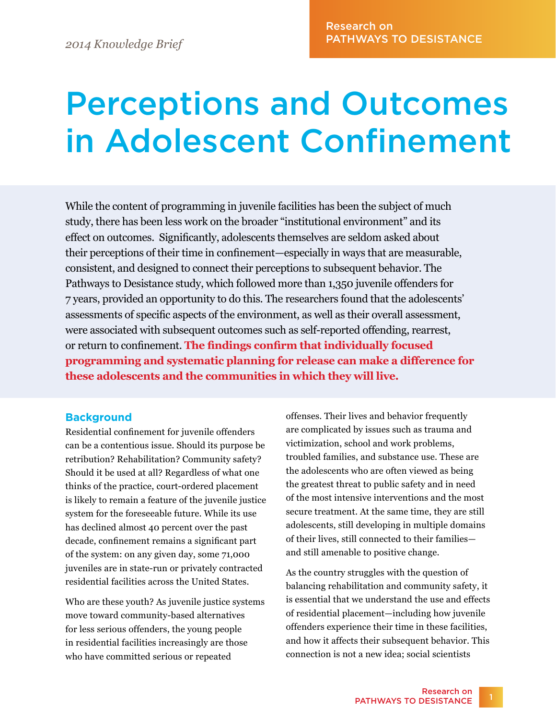# Perceptions and Outcomes in Adolescent Confinement

While the content of programming in juvenile facilities has been the subject of much study, there has been less work on the broader "institutional environment" and its effect on outcomes. Significantly, adolescents themselves are seldom asked about their perceptions of their time in confinement—especially in ways that are measurable, consistent, and designed to connect their perceptions to subsequent behavior. The Pathways to Desistance study, which followed more than 1,350 juvenile offenders for 7 years, provided an opportunity to do this. The researchers found that the adolescents' assessments of specific aspects of the environment, as well as their overall assessment, were associated with subsequent outcomes such as self-reported offending, rearrest, or return to confinement. **The findings confirm that individually focused programming and systematic planning for release can make a difference for these adolescents and the communities in which they will live.**

## **Background**

Residential confinement for juvenile offenders can be a contentious issue. Should its purpose be retribution? Rehabilitation? Community safety? Should it be used at all? Regardless of what one thinks of the practice, court-ordered placement is likely to remain a feature of the juvenile justice system for the foreseeable future. While its use has declined almost 40 percent over the past decade, confinement remains a significant part of the system: on any given day, some 71,000 juveniles are in state-run or privately contracted residential facilities across the United States.

Who are these youth? As juvenile justice systems move toward community-based alternatives for less serious offenders, the young people in residential facilities increasingly are those who have committed serious or repeated

offenses. Their lives and behavior frequently are complicated by issues such as trauma and victimization, school and work problems, troubled families, and substance use. These are the adolescents who are often viewed as being the greatest threat to public safety and in need of the most intensive interventions and the most secure treatment. At the same time, they are still adolescents, still developing in multiple domains of their lives, still connected to their families and still amenable to positive change.

As the country struggles with the question of balancing rehabilitation and community safety, it is essential that we understand the use and effects of residential placement—including how juvenile offenders experience their time in these facilities, and how it affects their subsequent behavior. This connection is not a new idea; social scientists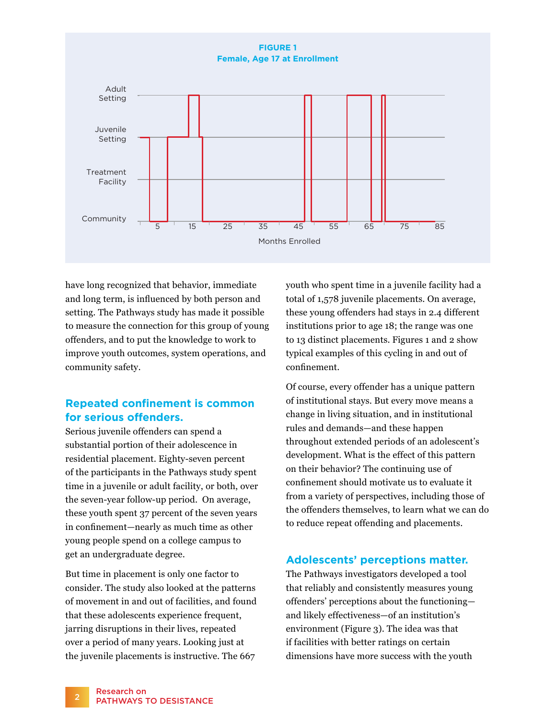

have long recognized that behavior, immediate and long term, is influenced by both person and setting. The Pathways study has made it possible to measure the connection for this group of young offenders, and to put the knowledge to work to improve youth outcomes, system operations, and community safety.

## **Repeated confinement is common for serious offenders.**

Serious juvenile offenders can spend a substantial portion of their adolescence in residential placement. Eighty-seven percent of the participants in the Pathways study spent time in a juvenile or adult facility, or both, over the seven-year follow-up period. On average, these youth spent 37 percent of the seven years in confinement—nearly as much time as other young people spend on a college campus to get an undergraduate degree.

But time in placement is only one factor to consider. The study also looked at the patterns of movement in and out of facilities, and found that these adolescents experience frequent, jarring disruptions in their lives, repeated over a period of many years. Looking just at the juvenile placements is instructive. The 667

youth who spent time in a juvenile facility had a total of 1,578 juvenile placements. On average, these young offenders had stays in 2.4 different institutions prior to age 18; the range was one to 13 distinct placements. Figures 1 and 2 show typical examples of this cycling in and out of confinement.

Of course, every offender has a unique pattern of institutional stays. But every move means a change in living situation, and in institutional rules and demands—and these happen throughout extended periods of an adolescent's development. What is the effect of this pattern on their behavior? The continuing use of confinement should motivate us to evaluate it from a variety of perspectives, including those of the offenders themselves, to learn what we can do to reduce repeat offending and placements.

## **Adolescents' perceptions matter.**

The Pathways investigators developed a tool that reliably and consistently measures young offenders' perceptions about the functioning and likely effectiveness—of an institution's environment (Figure 3). The idea was that if facilities with better ratings on certain dimensions have more success with the youth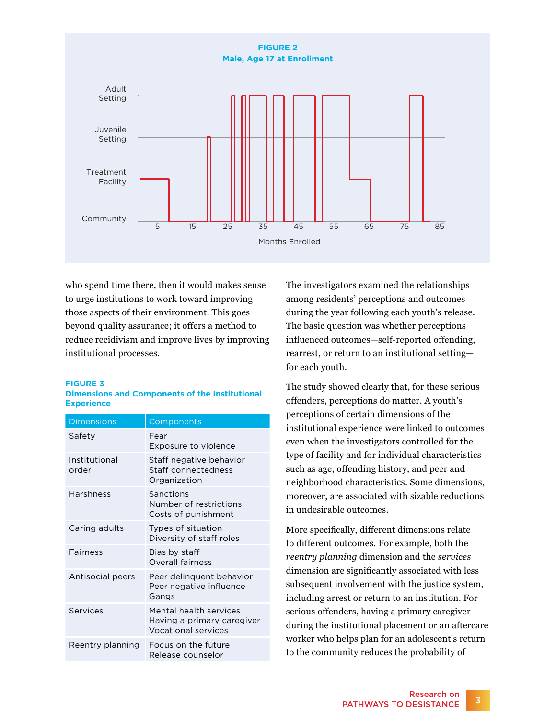

who spend time there, then it would makes sense to urge institutions to work toward improving those aspects of their environment. This goes beyond quality assurance; it offers a method to reduce recidivism and improve lives by improving institutional processes.

#### **FIGURE 3**

#### **Dimensions and Components of the Institutional Experience**

| <b>Dimensions</b>      | Components                                                                         |
|------------------------|------------------------------------------------------------------------------------|
| Safety                 | Fear<br>Exposure to violence                                                       |
| Institutional<br>order | Staff negative behavior<br>Staff connectedness<br>Organization                     |
| Harshness              | Sanctions<br>Number of restrictions<br>Costs of punishment                         |
| Caring adults          | Types of situation<br>Diversity of staff roles                                     |
| Fairness               | Bias by staff<br><b>Overall fairness</b>                                           |
| Antisocial peers       | Peer delinquent behavior<br>Peer negative influence<br>Gangs                       |
| Services               | Mental health services<br>Having a primary caregiver<br><b>Vocational services</b> |
| Reentry planning       | Focus on the future<br>Release counselor                                           |

The investigators examined the relationships among residents' perceptions and outcomes during the year following each youth's release. The basic question was whether perceptions influenced outcomes—self-reported offending, rearrest, or return to an institutional setting for each youth.

The study showed clearly that, for these serious offenders, perceptions do matter. A youth's perceptions of certain dimensions of the institutional experience were linked to outcomes even when the investigators controlled for the type of facility and for individual characteristics such as age, offending history, and peer and neighborhood characteristics. Some dimensions, moreover, are associated with sizable reductions in undesirable outcomes.

More specifically, different dimensions relate to different outcomes. For example, both the *reentry planning* dimension and the *services* dimension are significantly associated with less subsequent involvement with the justice system, including arrest or return to an institution. For serious offenders, having a primary caregiver during the institutional placement or an aftercare worker who helps plan for an adolescent's return to the community reduces the probability of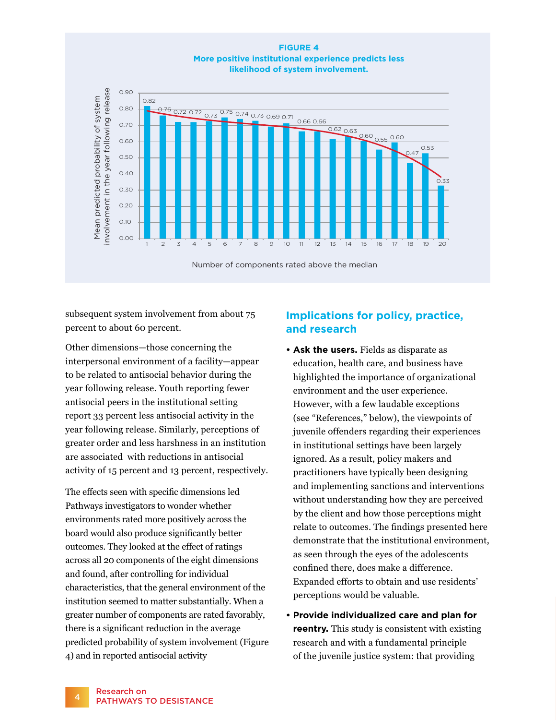

subsequent system involvement from about 75 percent to about 60 percent.

Other dimensions—those concerning the interpersonal environment of a facility—appear to be related to antisocial behavior during the year following release. Youth reporting fewer antisocial peers in the institutional setting report 33 percent less antisocial activity in the year following release. Similarly, perceptions of greater order and less harshness in an institution are associated with reductions in antisocial activity of 15 percent and 13 percent, respectively.

The effects seen with specific dimensions led Pathways investigators to wonder whether environments rated more positively across the board would also produce significantly better outcomes. They looked at the effect of ratings across all 20 components of the eight dimensions and found, after controlling for individual characteristics, that the general environment of the institution seemed to matter substantially. When a greater number of components are rated favorably, there is a significant reduction in the average predicted probability of system involvement (Figure 4) and in reported antisocial activity

# **Implications for policy, practice, and research**

- **Ask the users.** Fields as disparate as education, health care, and business have highlighted the importance of organizational environment and the user experience. However, with a few laudable exceptions (see "References," below), the viewpoints of juvenile offenders regarding their experiences in institutional settings have been largely ignored. As a result, policy makers and practitioners have typically been designing and implementing sanctions and interventions without understanding how they are perceived by the client and how those perceptions might relate to outcomes. The findings presented here demonstrate that the institutional environment, as seen through the eyes of the adolescents confined there, does make a difference. Expanded efforts to obtain and use residents' perceptions would be valuable.
- **Provide individualized care and plan for reentry.** This study is consistent with existing research and with a fundamental principle of the juvenile justice system: that providing